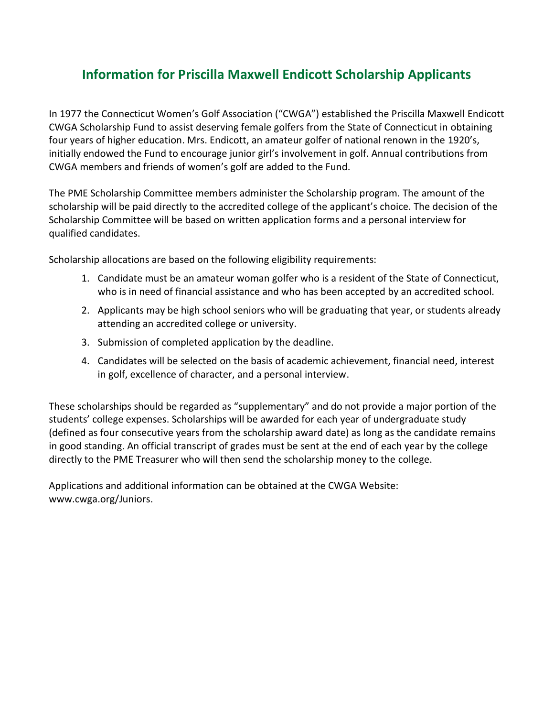## **Information for Priscilla Maxwell Endicott Scholarship Applicants**

In 1977 the Connecticut Women's Golf Association ("CWGA") established the Priscilla Maxwell Endicott CWGA Scholarship Fund to assist deserving female golfers from the State of Connecticut in obtaining four years of higher education. Mrs. Endicott, an amateur golfer of national renown in the 1920's, initially endowed the Fund to encourage junior girl's involvement in golf. Annual contributions from CWGA members and friends of women's golf are added to the Fund.

The PME Scholarship Committee members administer the Scholarship program. The amount of the scholarship will be paid directly to the accredited college of the applicant's choice. The decision of the Scholarship Committee will be based on written application forms and a personal interview for qualified candidates.

Scholarship allocations are based on the following eligibility requirements:

- 1. Candidate must be an amateur woman golfer who is a resident of the State of Connecticut, who is in need of financial assistance and who has been accepted by an accredited school.
- 2. Applicants may be high school seniors who will be graduating that year, or students already attending an accredited college or university.
- 3. Submission of completed application by the deadline.
- 4. Candidates will be selected on the basis of academic achievement, financial need, interest in golf, excellence of character, and a personal interview.

These scholarships should be regarded as "supplementary" and do not provide a major portion of the students' college expenses. Scholarships will be awarded for each year of undergraduate study (defined as four consecutive years from the scholarship award date) as long as the candidate remains in good standing. An official transcript of grades must be sent at the end of each year by the college directly to the PME Treasurer who will then send the scholarship money to the college.

Applications and additional information can be obtained at the CWGA Website: www.cwga.org/Juniors.